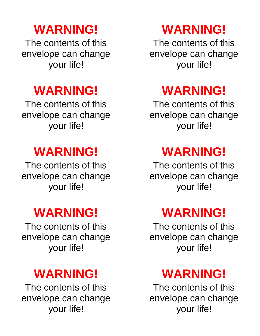# **WARNING!**

The contents of this envelope can change your life!

# **WARNING!**

The contents of this envelope can change your life!

# **WARNING!**

The contents of this envelope can change your life!

# **WARNING!**

The contents of this envelope can change your life!

# **WARNING!**

The contents of this envelope can change your life!

### **WARNING!**

The contents of this envelope can change your life!

# **WARNING!**

The contents of this envelope can change your life!

# **WARNING!**

The contents of this envelope can change your life!

# **WARNING!**

The contents of this envelope can change your life!

### **WARNING!**

The contents of this envelope can change your life!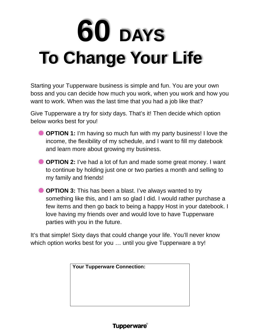# **60 DAYS To Change Your Life**

Starting your Tupperware business is simple and fun. You are your own boss and you can decide how much you work, when you work and how you want to work. When was the last time that you had a job like that?

Give Tupperware a try for sixty days. That's it! Then decide which option below works best for you!

- **EXECTION 1:** I'm having so much fun with my party business! I love the income, the flexibility of my schedule, and I want to fill my datebook and learn more about growing my business.
- **EXECTION 2:** I've had a lot of fun and made some great money. I want to continue by holding just one or two parties a month and selling to my family and friends!
- **EXECTION 3:** This has been a blast. I've always wanted to try something like this, and I am so glad I did. I would rather purchase a few items and then go back to being a happy Host in your datebook. I love having my friends over and would love to have Tupperware parties with you in the future.

It's that simple! Sixty days that could change your life. You'll never know which option works best for you … until you give Tupperware a try!

| <b>Your Tupperware Connection:</b> |  |  |  |  |
|------------------------------------|--|--|--|--|
|                                    |  |  |  |  |
|                                    |  |  |  |  |
|                                    |  |  |  |  |
|                                    |  |  |  |  |